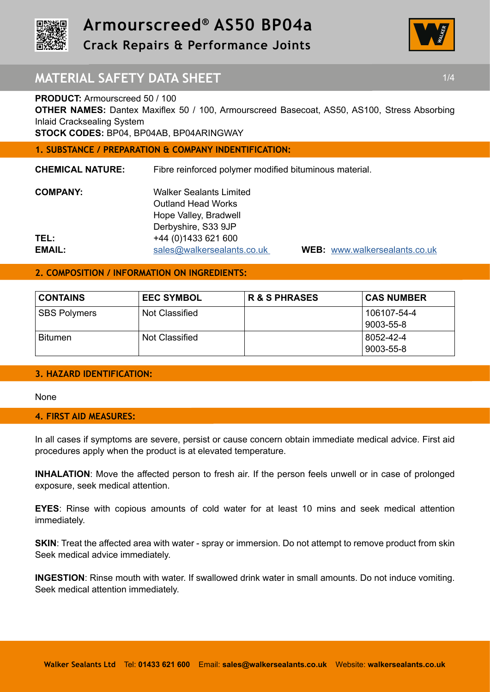



# **MATERIAL SAFETY DATA SHEET 1/4 1/4**

## **PRODUCT:** Armourscreed 50 / 100

**OTHER NAMES:** Dantex Maxiflex 50 / 100, Armourscreed Basecoat, AS50, AS100, Stress Absorbing Inlaid Cracksealing System

**STOCK CODES:** BP04, BP04AB, BP04ARINGWAY

## **1. SUBSTANCE / PREPARATION & COMPANY INDENTIFICATION:**

**CHEMICAL NATURE:** Fibre reinforced polymer modified bituminous material.

| <b>COMPANY:</b> | <b>Walker Sealants Limited</b> |
|-----------------|--------------------------------|
|                 | <b>Outland Head Works</b>      |
|                 | Hope Valley, Bradwell          |
|                 | Derbyshire, S33 9JP            |
| TEL:            | +44 (0) 1433 621 600           |
| EMAIL:          | sales@walkersealants.co.uk     |

**EMAIL:** sales@walkersealants.co.uk **WEB:** www.walkersealants.co.uk

## **2. COMPOSITION / INFORMATION ON INGREDIENTS:**

| <b>CONTAINS</b>     | <b>EEC SYMBOL</b> | <b>R &amp; S PHRASES</b> | <b>CAS NUMBER</b>        |
|---------------------|-------------------|--------------------------|--------------------------|
| <b>SBS Polymers</b> | Not Classified    |                          | 106107-54-4<br>9003-55-8 |
| <b>Bitumen</b>      | Not Classified    |                          | 8052-42-4<br>9003-55-8   |

## **3. HAZARD IDENTIFICATION:**

None

### **4. FIRST AID MEASURES:**

In all cases if symptoms are severe, persist or cause concern obtain immediate medical advice. First aid procedures apply when the product is at elevated temperature.

**INHALATION**: Move the affected person to fresh air. If the person feels unwell or in case of prolonged exposure, seek medical attention.

**EYES**: Rinse with copious amounts of cold water for at least 10 mins and seek medical attention immediately.

**SKIN:** Treat the affected area with water - spray or immersion. Do not attempt to remove product from skin Seek medical advice immediately.

**INGESTION**: Rinse mouth with water. If swallowed drink water in small amounts. Do not induce vomiting. Seek medical attention immediately.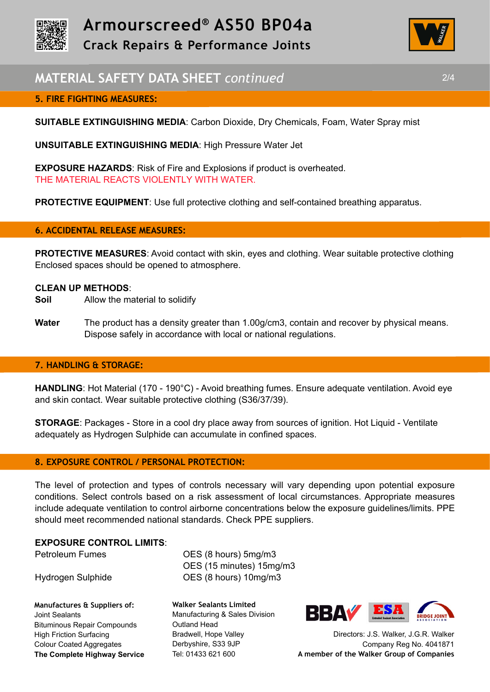



# **MATERIAL SAFETY DATA SHEET** *continued* 2/4

## **5. FIRE FIGHTING MEASURES:**

**SUITABLE EXTINGUISHING MEDIA**: Carbon Dioxide, Dry Chemicals, Foam, Water Spray mist

**UNSUITABLE EXTINGUISHING MEDIA**: High Pressure Water Jet

**EXPOSURE HAZARDS**: Risk of Fire and Explosions if product is overheated. THE MATERIAL REACTS VIOLENTLY WITH WATER.

**PROTECTIVE EQUIPMENT:** Use full protective clothing and self-contained breathing apparatus.

### **6. ACCIDENTAL RELEASE MEASURES:**

**PROTECTIVE MEASURES**: Avoid contact with skin, eyes and clothing. Wear suitable protective clothing Enclosed spaces should be opened to atmosphere.

#### **CLEAN UP METHODS**:

- **Soil** Allow the material to solidify
- **Water** The product has a density greater than 1.00g/cm3, contain and recover by physical means. Dispose safely in accordance with local or national regulations.

### **7. HANDLING & STORAGE:**

**HANDLING**: Hot Material (170 - 190°C) - Avoid breathing fumes. Ensure adequate ventilation. Avoid eye and skin contact. Wear suitable protective clothing (S36/37/39).

**STORAGE**: Packages - Store in a cool dry place away from sources of ignition. Hot Liquid - Ventilate adequately as Hydrogen Sulphide can accumulate in confined spaces.

### **8. EXPOSURE CONTROL / PERSONAL PROTECTION:**

The level of protection and types of controls necessary will vary depending upon potential exposure conditions. Select controls based on a risk assessment of local circumstances. Appropriate measures include adequate ventilation to control airborne concentrations below the exposure guidelines/limits. PPE should meet recommended national standards. Check PPE suppliers.

#### **EXPOSURE CONTROL LIMITS**:

**Manufactures & Suppliers of:**  Joint Sealants Bituminous Repair Compounds High Friction Surfacing Colour Coated Aggregates **The Complete Highway Service**

Petroleum Fumes **OES** (8 hours) 5mg/m3 OES (15 minutes) 15mg/m3 Hydrogen Sulphide OES (8 hours) 10mg/m3

> **Walker Sealants Limited**  Manufacturing & Sales Division Outland Head Bradwell, Hope Valley Derbyshire, S33 9JP Tel: 01433 621 600



Directors: J.S. Walker, J.G.R. Walker Company Reg No. 4041871 **A member of the Walker Group of Companies**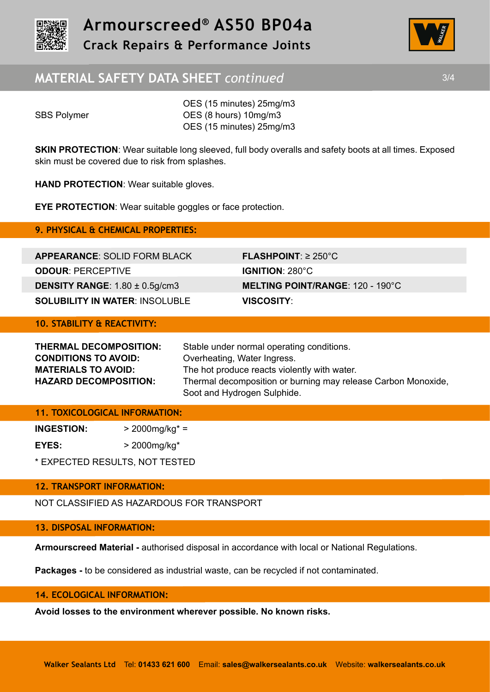



# **MATERIAL SAFETY DATA SHEET** *continued* 3/4

OES (15 minutes) 25mg/m3 SBS Polymer **OES** (8 hours) 10mg/m3 OES (15 minutes) 25mg/m3

**SKIN PROTECTION:** Wear suitable long sleeved, full body overalls and safety boots at all times. Exposed skin must be covered due to risk from splashes.

**HAND PROTECTION**: Wear suitable gloves.

**EYE PROTECTION**: Wear suitable goggles or face protection.

**9. PHYSICAL & CHEMICAL PROPERTIES:** 

**APPEARANCE**: SOLID FORM BLACK **FLASHPOINT**: ≥ 250°C **ODOUR**: PERCEPTIVE **IGNITION**: 280°C **DENSITY RANGE**: 1.80 ± 0.5g/cm3 **MELTING POINT/RANGE**: 120 - 190°C **SOLUBILITY IN WATER**: INSOLUBLE **VISCOSITY**:

## **10. STABILITY & REACTIVITY:**

| <b>THERMAL DECOMPOSITION:</b> | Stable under normal operating conditions.                     |
|-------------------------------|---------------------------------------------------------------|
| <b>CONDITIONS TO AVOID:</b>   | Overheating, Water Ingress.                                   |
| <b>MATERIALS TO AVOID:</b>    | The hot produce reacts violently with water.                  |
| <b>HAZARD DECOMPOSITION:</b>  | Thermal decomposition or burning may release Carbon Monoxide, |
|                               | Soot and Hydrogen Sulphide.                                   |

### **11. TOXICOLOGICAL INFORMATION:**

**INGESTION:** > 2000mg/kg\* = **EYES:** > 2000mg/kg\*

\* EXPECTED RESULTS, NOT TESTED

## **12. TRANSPORT INFORMATION:**

NOT CLASSIFIED AS HAZARDOUS FOR TRANSPORT

## **13. DISPOSAL INFORMATION:**

**Armourscreed Material -** authorised disposal in accordance with local or National Regulations.

**Packages -** to be considered as industrial waste, can be recycled if not contaminated.

### **14. ECOLOGICAL INFORMATION:**

**Avoid losses to the environment wherever possible. No known risks.**